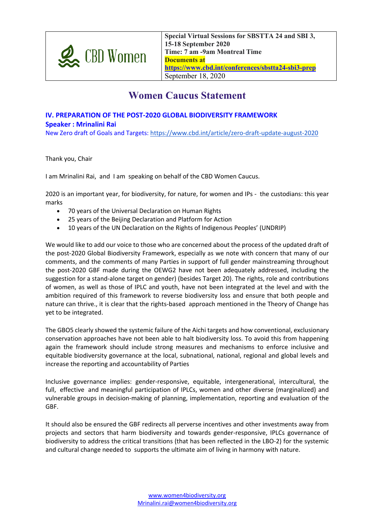

**Special Virtual Sessions for SBSTTA 24 and SBI 3, 15-18 September 2020 Time: 7 am -9am Montreal Time Documents at https://www.cbd.int/conferences/sbstta24-sbi3-prep** September 18, 2020

## **Women Caucus Statement**

## **IV. PREPARATION OF THE POST-2020 GLOBAL BIODIVERSITY FRAMEWORK Speaker : Mrinalini Rai**

New Zero draft of Goals and Targets: https://www.cbd.int/article/zero-draft-update-august-2020

Thank you, Chair

I am Mrinalini Rai, and I am speaking on behalf of the CBD Women Caucus.

2020 is an important year, for biodiversity, for nature, for women and IPs - the custodians: this year marks

- 70 years of the Universal Declaration on Human Rights
- 25 years of the Beijing Declaration and Platform for Action
- 10 years of the UN Declaration on the Rights of Indigenous Peoples' (UNDRIP)

We would like to add our voice to those who are concerned about the process of the updated draft of the post-2020 Global Biodiversity Framework, especially as we note with concern that many of our comments, and the comments of many Parties in support of full gender mainstreaming throughout the post-2020 GBF made during the OEWG2 have not been adequately addressed, including the suggestion for a stand-alone target on gender) (besides Target 20). The rights, role and contributions of women, as well as those of IPLC and youth, have not been integrated at the level and with the ambition required of this framework to reverse biodiversity loss and ensure that both people and nature can thrive., it is clear that the rights-based approach mentioned in the Theory of Change has yet to be integrated.

The GBO5 clearly showed the systemic failure of the Aichi targets and how conventional, exclusionary conservation approaches have not been able to halt biodiversity loss. To avoid this from happening again the framework should include strong measures and mechanisms to enforce inclusive and equitable biodiversity governance at the local, subnational, national, regional and global levels and increase the reporting and accountability of Parties

Inclusive governance implies: gender-responsive, equitable, intergenerational, intercultural, the full, effective and meaningful participation of IPLCs, women and other diverse (marginalized) and vulnerable groups in decision-making of planning, implementation, reporting and evaluation of the GBF.

It should also be ensured the GBF redirects all perverse incentives and other investments away from projects and sectors that harm biodiversity and towards gender-responsive, IPLCs governance of biodiversity to address the critical transitions (that has been reflected in the LBO-2) for the systemic and cultural change needed to supports the ultimate aim of living in harmony with nature.